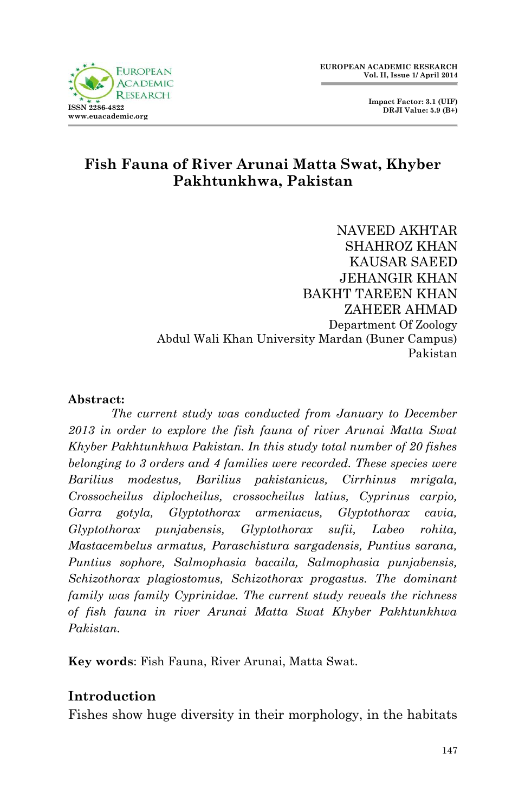

 **Impact Factor: 3.1 (UIF) DRJI Value: 5.9 (B+)**

## **Fish Fauna of River Arunai Matta Swat, Khyber Pakhtunkhwa, Pakistan**

NAVEED AKHTAR SHAHROZ KHAN KAUSAR SAEED JEHANGIR KHAN BAKHT TAREEN KHAN ZAHEER AHMAD Department Of Zoology Abdul Wali Khan University Mardan (Buner Campus) Pakistan

#### **Abstract:**

*The current study was conducted from January to December 2013 in order to explore the fish fauna of river Arunai Matta Swat Khyber Pakhtunkhwa Pakistan. In this study total number of 20 fishes belonging to 3 orders and 4 families were recorded. These species were Barilius modestus, Barilius pakistanicus, Cirrhinus mrigala, Crossocheilus diplocheilus, crossocheilus latius, Cyprinus carpio, Garra gotyla, Glyptothorax armeniacus, Glyptothorax cavia, Glyptothorax punjabensis, Glyptothorax sufii, Labeo rohita, Mastacembelus armatus, Paraschistura sargadensis, Puntius sarana, Puntius sophore, Salmophasia bacaila, Salmophasia punjabensis, Schizothorax plagiostomus, Schizothorax progastus. The dominant family was family Cyprinidae. The current study reveals the richness of fish fauna in river Arunai Matta Swat Khyber Pakhtunkhwa Pakistan.*

**Key words**: Fish Fauna, River Arunai, Matta Swat.

### **Introduction**

Fishes show huge diversity in their morphology, in the habitats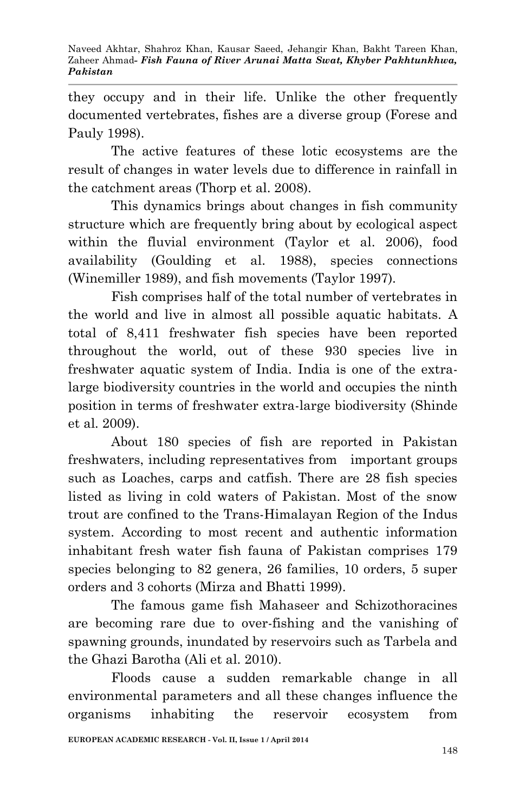they occupy and in their life. Unlike the other frequently documented vertebrates, fishes are a diverse group (Forese and Pauly 1998).

The active features of these lotic ecosystems are the result of changes in water levels due to difference in rainfall in the catchment areas (Thorp et al. 2008).

This dynamics brings about changes in fish community structure which are frequently bring about by ecological aspect within the fluvial environment (Taylor et al. 2006), food availability (Goulding et al. 1988), species connections (Winemiller 1989), and fish movements (Taylor 1997).

Fish comprises half of the total number of vertebrates in the world and live in almost all possible aquatic habitats. A total of 8,411 freshwater fish species have been reported throughout the world, out of these 930 species live in freshwater aquatic system of India. India is one of the extralarge biodiversity countries in the world and occupies the ninth position in terms of freshwater extra-large biodiversity (Shinde et al. 2009).

About 180 species of fish are reported in Pakistan freshwaters, including representatives from important groups such as Loaches, carps and catfish. There are 28 fish species listed as living in cold waters of Pakistan. Most of the snow trout are confined to the Trans-Himalayan Region of the Indus system. According to most recent and authentic information inhabitant fresh water fish fauna of Pakistan comprises 179 species belonging to 82 genera, 26 families, 10 orders, 5 super orders and 3 cohorts (Mirza and Bhatti 1999).

The famous game fish Mahaseer and Schizothoracines are becoming rare due to over-fishing and the vanishing of spawning grounds, inundated by reservoirs such as Tarbela and the Ghazi Barotha (Ali et al. 2010).

Floods cause a sudden remarkable change in all environmental parameters and all these changes influence the organisms inhabiting the reservoir ecosystem from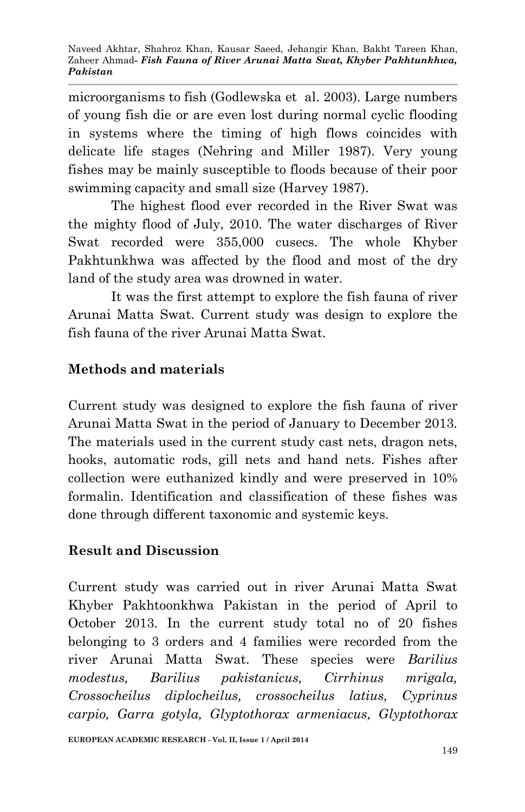microorganisms to fish (Godlewska et al. 2003). Large numbers of young fish die or are even lost during normal cyclic flooding in systems where the timing of high flows coincides with delicate life stages (Nehring and Miller 1987). Very young fishes may be mainly susceptible to floods because of their poor swimming capacity and small size (Harvey 1987).

The highest flood ever recorded in the River Swat was the mighty flood of July, 2010. The water discharges of River Swat recorded were 355,000 cusecs. The whole Khyber Pakhtunkhwa was affected by the flood and most of the dry land of the study area was drowned in water.

It was the first attempt to explore the fish fauna of river Arunai Matta Swat. Current study was design to explore the fish fauna of the river Arunai Matta Swat.

# **Methods and materials**

Current study was designed to explore the fish fauna of river Arunai Matta Swat in the period of January to December 2013. The materials used in the current study cast nets, dragon nets, hooks, automatic rods, gill nets and hand nets. Fishes after collection were euthanized kindly and were preserved in 10% formalin. Identification and classification of these fishes was done through different taxonomic and systemic keys.

## **Result and Discussion**

Current study was carried out in river Arunai Matta Swat Khyber Pakhtoonkhwa Pakistan in the period of April to October 2013. In the current study total no of 20 fishes belonging to 3 orders and 4 families were recorded from the river Arunai Matta Swat. These species were *Barilius modestus, Barilius pakistanicus, Cirrhinus mrigala, Crossocheilus diplocheilus, crossocheilus latius, Cyprinus carpio, Garra gotyla, Glyptothorax armeniacus, Glyptothorax*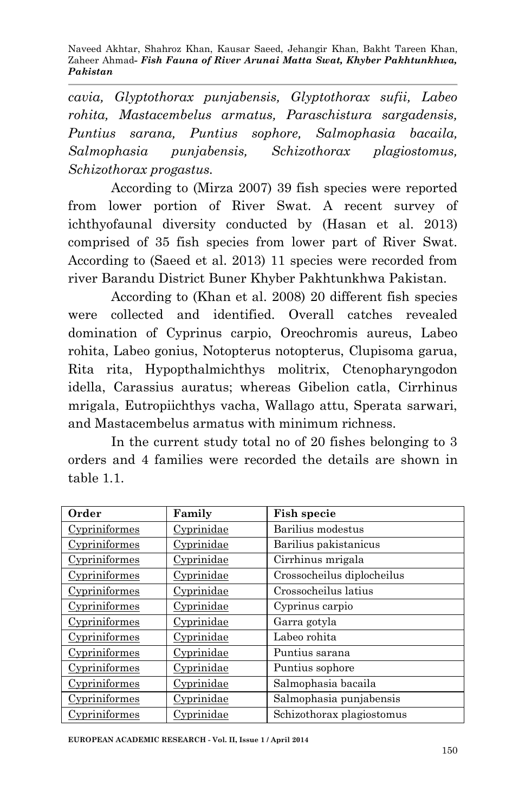Naveed Akhtar, Shahroz Khan, Kausar Saeed, Jehangir Khan, Bakht Tareen Khan, Zaheer Ahmad*- Fish Fauna of River Arunai Matta Swat, Khyber Pakhtunkhwa, Pakistan*

*cavia, Glyptothorax punjabensis, Glyptothorax sufii, Labeo rohita, Mastacembelus armatus, Paraschistura sargadensis, Puntius sarana, Puntius sophore, Salmophasia bacaila, Salmophasia punjabensis, Schizothorax plagiostomus, Schizothorax progastus.*

According to (Mirza 2007) 39 fish species were reported from lower portion of River Swat. A recent survey of ichthyofaunal diversity conducted by (Hasan et al. 2013) comprised of 35 fish species from lower part of River Swat. According to (Saeed et al. 2013) 11 species were recorded from river Barandu District Buner Khyber Pakhtunkhwa Pakistan.

According to (Khan et al. 2008) 20 different fish species were collected and identified. Overall catches revealed domination of Cyprinus carpio, Oreochromis aureus, Labeo rohita, Labeo gonius, Notopterus notopterus, Clupisoma garua, Rita rita, Hypopthalmichthys molitrix, Ctenopharyngodon idella, Carassius auratus; whereas Gibelion catla, Cirrhinus mrigala, Eutropiichthys vacha, Wallago attu, Sperata sarwari, and Mastacembelus armatus with minimum richness.

In the current study total no of 20 fishes belonging to 3 orders and 4 families were recorded the details are shown in table 1.1.

| Order                | Family            | <b>Fish specie</b>         |  |
|----------------------|-------------------|----------------------------|--|
| Cypriniformes        | <u>Cyprinidae</u> | Barilius modestus          |  |
| <u>Cypriniformes</u> | Cyprinidae        | Barilius pakistanicus      |  |
| Cypriniformes        | Cyprinidae        | Cirrhinus mrigala          |  |
| Cypriniformes        | <u>Cyprinidae</u> | Crossocheilus diplocheilus |  |
| Cypriniformes        | Cyprinidae        | Crossocheilus latius       |  |
| Cypriniformes        | Cyprinidae        | Cyprinus carpio            |  |
| Cypriniformes        | <u>Cyprinidae</u> | Garra gotyla               |  |
| Cypriniformes        | Cyprinidae        | Labeo rohita               |  |
| Cypriniformes        | Cyprinidae        | Puntius sarana             |  |
| Cypriniformes        | <u>Cyprinidae</u> | Puntius sophore            |  |
| Cypriniformes        | Cyprinidae        | Salmophasia bacaila        |  |
| Cypriniformes        | Cyprinidae        | Salmophasia punjabensis    |  |
| Cypriniformes        | Cyprinidae        | Schizothorax plagiostomus  |  |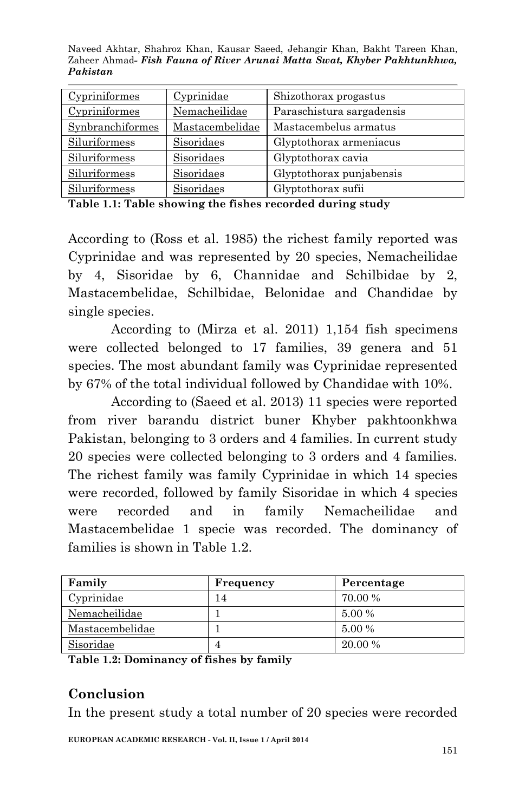Naveed Akhtar, Shahroz Khan, Kausar Saeed, Jehangir Khan, Bakht Tareen Khan, Zaheer Ahmad*- Fish Fauna of River Arunai Matta Swat, Khyber Pakhtunkhwa, Pakistan*

| Cypriniformes    | Cyprinidae      | Shizothorax progastus     |  |
|------------------|-----------------|---------------------------|--|
| Cypriniformes    | Nemacheilidae   | Paraschistura sargadensis |  |
| Synbranchiformes | Mastacembelidae | Mastacembelus armatus     |  |
| Siluriformess    | Sisoridaes      | Glyptothorax armeniacus   |  |
| Siluriformess    | Sisoridaes      | Glyptothorax cavia        |  |
| Siluriformess    | Sisoridaes      | Glyptothorax punjabensis  |  |
| Siluriformess    | Sisoridaes      | Glyptothorax sufii        |  |

**Table 1.1: Table showing the fishes recorded during study**

According to (Ross et al. 1985) the richest family reported was Cyprinidae and was represented by 20 species, Nemacheilidae by 4, Sisoridae by 6, Channidae and Schilbidae by 2, Mastacembelidae, Schilbidae, Belonidae and Chandidae by single species.

According to (Mirza et al. 2011) 1,154 fish specimens were collected belonged to 17 families, 39 genera and 51 species. The most abundant family was Cyprinidae represented by 67% of the total individual followed by Chandidae with 10%.

According to (Saeed et al. 2013) 11 species were reported from river barandu district buner Khyber pakhtoonkhwa Pakistan, belonging to 3 orders and 4 families. In current study 20 species were collected belonging to 3 orders and 4 families. The richest family was family Cyprinidae in which 14 species were recorded, followed by family Sisoridae in which 4 species were recorded and in family Nemacheilidae and Mastacembelidae 1 specie was recorded. The dominancy of families is shown in Table 1.2.

| Family          | Frequency | Percentage |
|-----------------|-----------|------------|
| Cyprinidae      | 14        | 70.00 %    |
| Nemacheilidae   |           | 5.00 %     |
| Mastacembelidae |           | 5.00 %     |
| Sisoridae       |           | 20.00 %    |

**Table 1.2: Dominancy of fishes by family** 

## **Conclusion**

In the present study a total number of 20 species were recorded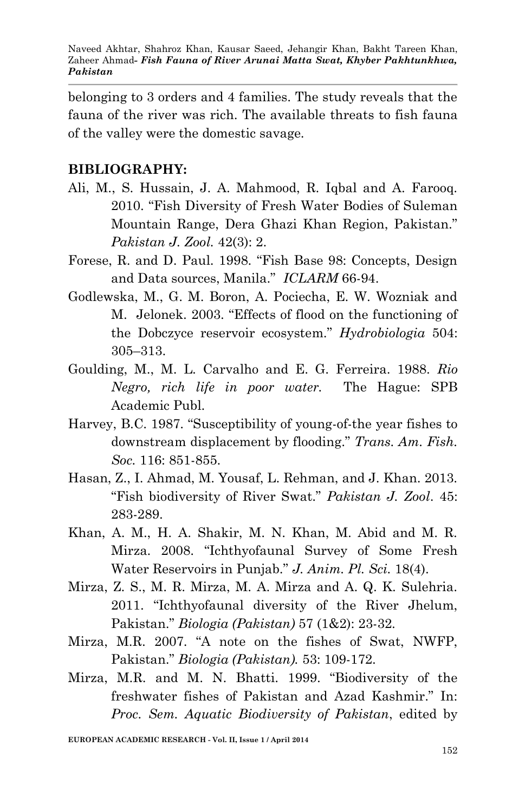belonging to 3 orders and 4 families. The study reveals that the fauna of the river was rich. The available threats to fish fauna of the valley were the domestic savage.

### **BIBLIOGRAPHY:**

- Ali, M., S. Hussain, J. A. Mahmood, R. Iqbal and A. Farooq. 2010. "Fish Diversity of Fresh Water Bodies of Suleman Mountain Range, Dera Ghazi Khan Region, Pakistan." *Pakistan J. Zool.* 42(3): 2.
- Forese, R. and D. Paul. 1998. "Fish Base 98: Concepts, Design and Data sources, Manila." *ICLARM* 66-94.
- Godlewska, M., G. M. Boron, A. Pociecha, E. W. Wozniak and M. Jelonek. 2003. "Effects of flood on the functioning of the Dobczyce reservoir ecosystem." *Hydrobiologia* 504: 305–313.
- Goulding, M., M. L. Carvalho and E. G. Ferreira. 1988. *Rio Negro, rich life in poor water.* The Hague: SPB Academic Publ.
- Harvey, B.C. 1987. "Susceptibility of young-of-the year fishes to downstream displacement by flooding." *Trans. Am. Fish. Soc.* 116: 851-855.
- Hasan, Z., I. Ahmad, M. Yousaf, L. Rehman, and J. Khan. 2013. "Fish biodiversity of River Swat." *Pakistan J. Zool*. 45: 283-289.
- Khan, A. M., H. A. Shakir, M. N. Khan, M. Abid and M. R. Mirza. 2008. "Ichthyofaunal Survey of Some Fresh Water Reservoirs in Punjab." *J. Anim. Pl. Sci.* 18(4).
- Mirza, Z. S., M. R. Mirza, M. A. Mirza and A. Q. K. Sulehria. 2011. "Ichthyofaunal diversity of the River Jhelum, Pakistan." *Biologia (Pakistan)* 57 (1&2): 23-32.
- Mirza, M.R. 2007. "A note on the fishes of Swat, NWFP, Pakistan." *Biologia (Pakistan).* 53: 109-172.
- Mirza, M.R. and M. N. Bhatti. 1999. "Biodiversity of the freshwater fishes of Pakistan and Azad Kashmir." In: *Proc. Sem. Aquatic Biodiversity of Pakistan*, edited by